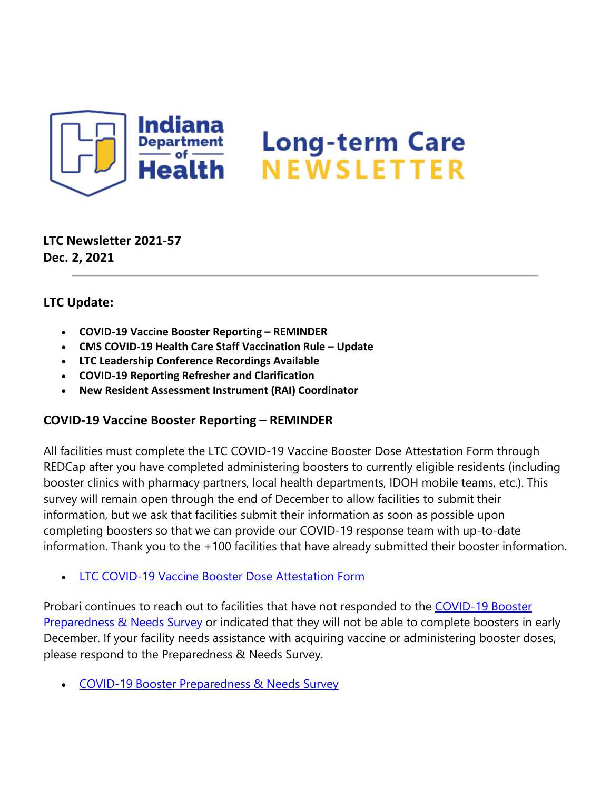

## **LTC Newsletter 2021-57 Dec. 2, 2021**

## **LTC Update:**

- **COVID-19 Vaccine Booster Reporting REMINDER**
- **CMS COVID-19 Health Care Staff Vaccination Rule Update**
- **LTC Leadership Conference Recordings Available**
- **COVID-19 Reporting Refresher and Clarification**
- **New Resident Assessment Instrument (RAI) Coordinator**

## **COVID-19 Vaccine Booster Reporting – REMINDER**

All facilities must complete the LTC COVID-19 Vaccine Booster Dose Attestation Form through REDCap after you have completed administering boosters to currently eligible residents (including booster clinics with pharmacy partners, local health departments, IDOH mobile teams, etc.). This survey will remain open through the end of December to allow facilities to submit their information, but we ask that facilities submit their information as soon as possible upon completing boosters so that we can provide our COVID-19 response team with up-to-date information. Thank you to the +100 facilities that have already submitted their booster information.

• [LTC COVID-19 Vaccine Booster Dose Attestation Form](https://lnks.gd/l/eyJhbGciOiJIUzI1NiJ9.eyJidWxsZXRpbl9saW5rX2lkIjoxMDAsInVyaSI6ImJwMjpjbGljayIsImJ1bGxldGluX2lkIjoiMjAyMTEyMDIuNDk2ODc4MTEiLCJ1cmwiOiJodHRwczovL3JlZGNhcC5pc2RoLmluLmdvdi9zdXJ2ZXlzLz9zPVhNUlBIQUVZTDkifQ.EC4lMan8Wd9VC0ev0V-9xzTm-WQnGnGh-F56BB1i63o/s/1439130268/br/122196949987-l)

Probari continues to reach out to facilities that have not responded to the COVID-19 Booster [Preparedness & Needs Survey](https://lnks.gd/l/eyJhbGciOiJIUzI1NiJ9.eyJidWxsZXRpbl9saW5rX2lkIjoxMDEsInVyaSI6ImJwMjpjbGljayIsImJ1bGxldGluX2lkIjoiMjAyMTEyMDIuNDk2ODc4MTEiLCJ1cmwiOiJodHRwczovL3JlZGNhcC5pc2RoLmluLmdvdi9zdXJ2ZXlzLz9zPUNKS1k4Szg0SzQifQ.3HiVH9bk_da_S9MhWppCkubKGC2yJ3yNYc579SZoNkI/s/1439130268/br/122196949987-l) or indicated that they will not be able to complete boosters in early December. If your facility needs assistance with acquiring vaccine or administering booster doses, please respond to the Preparedness & Needs Survey.

• [COVID-19 Booster Preparedness & Needs Survey](https://lnks.gd/l/eyJhbGciOiJIUzI1NiJ9.eyJidWxsZXRpbl9saW5rX2lkIjoxMDIsInVyaSI6ImJwMjpjbGljayIsImJ1bGxldGluX2lkIjoiMjAyMTEyMDIuNDk2ODc4MTEiLCJ1cmwiOiJodHRwczovL3JlZGNhcC5pc2RoLmluLmdvdi9zdXJ2ZXlzLz9zPUNKS1k4Szg0SzQifQ.KkySpsTF29qMvVGEpdhl7NH433RUIzhl5zcEzWI_hjI/s/1439130268/br/122196949987-l)